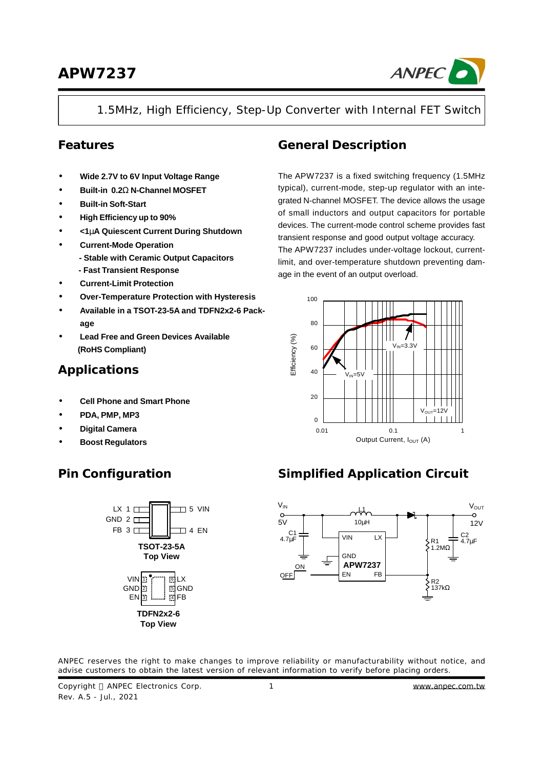

### 1.5MHz, High Efficiency, Step-Up Converter with Internal FET Switch

### **Features**

- **· Wide 2.7V to 6V Input Voltage Range**
- **· Built-in 0.2W N-Channel MOSFET**
- **· Built-in Soft-Start**
- **· High Efficiency up to 90%**
- **· <1mA Quiescent Current During Shutdown**
- **· Current-Mode Operation**
	- **Stable with Ceramic Output Capacitors**
	- **- Fast Transient Response**
- **· Current-Limit Protection**
- **· Over-Temperature Protection with Hysteresis**
- **· Available in a TSOT-23-5A and TDFN2x2-6 Package**
- **· Lead Free and Green Devices Available (RoHS Compliant)**

### **Applications**

- **· Cell Phone and Smart Phone**
- **· PDA, PMP, MP3**
- **· Digital Camera**
- **· Boost Regulators**

### **General Description**

The APW7237 is a fixed switching frequency (1.5MHz typical), current-mode, step-up regulator with an integrated N-channel MOSFET. The device allows the usage of small inductors and output capacitors for portable devices. The current-mode control scheme provides fast transient response and good output voltage accuracy. The APW7237 includes under-voltage lockout, currentlimit, and over-temperature shutdown preventing damage in the event of an output overload.





# **Pin Configuration Simplified Application Circuit**



ANPEC reserves the right to make changes to improve reliability or manufacturability without notice, and advise customers to obtain the latest version of relevant information to verify before placing orders.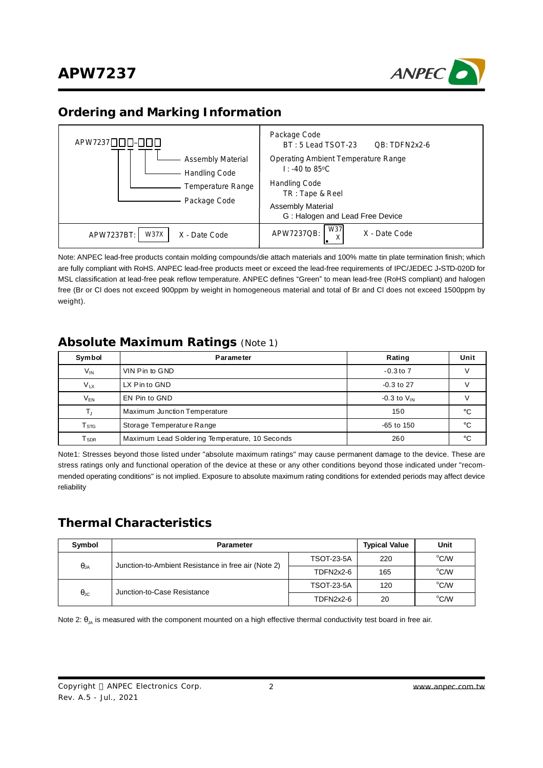

### **Ordering and Marking Information**

| APW7237000-000<br><b>Assembly Material</b><br>Handling Code<br>Temperature Range<br>Package Code | Package Code<br>BT: 5 Lead TSOT-23<br>QB: TDFN2x2-6<br>Operating Ambient Temperature Range<br>$\mathsf{I}$ : -40 to 85 °C<br><b>Handling Code</b><br>TR: Tape & Reel<br><b>Assembly Material</b><br>G: Halogen and Lead Free Device |
|--------------------------------------------------------------------------------------------------|-------------------------------------------------------------------------------------------------------------------------------------------------------------------------------------------------------------------------------------|
| W37X<br>APW7237BT:<br>X - Date Code                                                              | W37<br>APW7237QB:<br>X - Date Code<br>⋏                                                                                                                                                                                             |

Note: ANPEC lead-free products contain molding compounds/die attach materials and 100% matte tin plate termination finish; which are fully compliant with RoHS. ANPEC lead-free products meet or exceed the lead-free requirements of IPC/JEDEC J**-**STD-020D for MSL classification at lead-free peak reflow temperature. ANPEC defines "Green" to mean lead-free (RoHS compliant) and halogen free (Br or Cl does not exceed 900ppm by weight in homogeneous material and total of Br and Cl does not exceed 1500ppm by weight).

### **Absolute Maximum Ratings** (Note 1)

| Symbol                       | Parameter                                      | Rating             | Unit |
|------------------------------|------------------------------------------------|--------------------|------|
| $V_{IN}$                     | VIN Pin to GND                                 | $-0.3$ to $7$      |      |
| $V_{LX}$                     | LX Pin to GND                                  | $-0.3$ to 27       |      |
| $V_{EN}$                     | EN Pin to GND                                  | $-0.3$ to $V_{IN}$ |      |
|                              | Maximum Junction Temperature                   | 150                | °C   |
| $\mathsf{T}_{\text{STG}}$    | Storage Temperature Range                      | -65 to 150         | °C   |
| ${\mathsf T}_{\textsf{SDR}}$ | Maximum Lead Soldering Temperature, 10 Seconds | 260                | °€   |

Note1: Stresses beyond those listed under "absolute maximum ratings" may cause permanent damage to the device. These are stress ratings only and functional operation of the device at these or any other conditions beyond those indicated under "recommended operating conditions" is not implied. Exposure to absolute maximum rating conditions for extended periods may affect device reliability

### **Thermal Characteristics**

| Symbol            | <b>Parameter</b>                                    | <b>Typical Value</b> | Unit |      |
|-------------------|-----------------------------------------------------|----------------------|------|------|
|                   | Junction-to-Ambient Resistance in free air (Note 2) | <b>TSOT-23-5A</b>    | 220  | °C/W |
| $\theta_{JA}$     |                                                     | TDFN2x2-6            | 165  | °C/W |
|                   | Junction-to-Case Resistance                         | <b>TSOT-23-5A</b>    | 120  | °C/W |
| $\theta_{\rm JC}$ |                                                     | TDFN2x2-6            | 20   | °C/W |

Note 2:  $\theta_{JA}$  is measured with the component mounted on a high effective thermal conductivity test board in free air.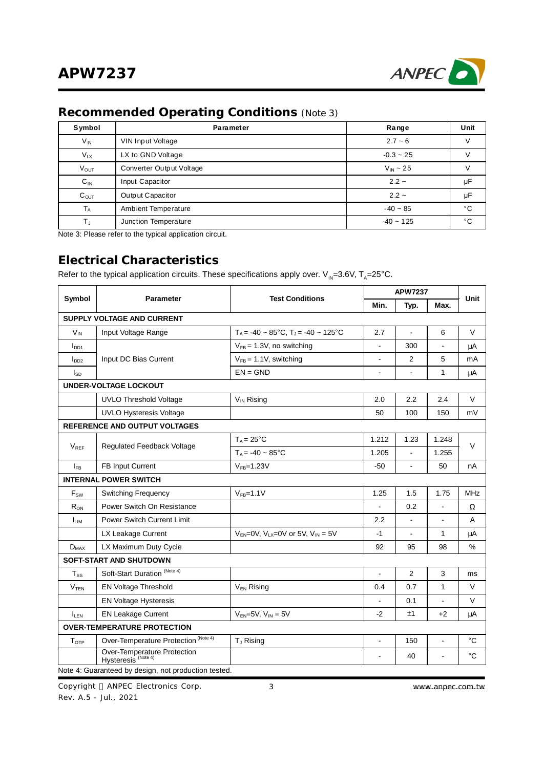

### **Recommended Operating Conditions** (Note 3)

| Symbol           | Parameter                | Range        | Unit |
|------------------|--------------------------|--------------|------|
| $V_{N}$          | VIN Input Voltage        | $2.7 - 6$    |      |
| $V_{LX}$         | LX to GND Voltage        | $-0.3 - 25$  |      |
| <b>Vout</b>      | Converter Output Voltage | $V_{N}$ ~ 25 |      |
| $C_{IN}$         | Input Capacitor          | $2.2 -$      | μF   |
| C <sub>OUT</sub> | Output Capacitor         | $2.2 -$      | μF   |
| $T_A$            | Ambient Temperature      | $-40 - 85$   | °C   |
| T,               | Junction Temperature     | $-40 - 125$  | °C   |

Note 3: Please refer to the typical application circuit.

### **Electrical Characteristics**

Refer to the typical application circuits. These specifications apply over.  $\mathsf{V}_{\mathsf{IN}}$ =3.6V, T<sub>A</sub>=25°C.

| Symbol                                  | <b>Parameter</b>                                              | <b>Test Conditions</b>                                        | <b>APW7237</b> | Unit           |                |              |
|-----------------------------------------|---------------------------------------------------------------|---------------------------------------------------------------|----------------|----------------|----------------|--------------|
|                                         |                                                               |                                                               | Min.           | Typ.           | Max.           |              |
|                                         | <b>SUPPLY VOLTAGE AND CURRENT</b>                             |                                                               |                |                |                |              |
| $V_{IN}$                                | Input Voltage Range                                           | $T_A$ = -40 ~ 85°C, $T_A$ = -40 ~ 125°C                       | 2.7            | $\blacksquare$ | 6              | $\vee$       |
| I <sub>DD1</sub>                        |                                                               | $V_{FB} = 1.3V$ , no switching                                |                | 300            | $\blacksquare$ | μA           |
| I <sub>DD2</sub>                        | Input DC Bias Current                                         | $V_{FB} = 1.1V$ , switching                                   |                | 2              | 5              | mA           |
| $I_{SD}$                                |                                                               | $EN = GND$                                                    | $\blacksquare$ | $\blacksquare$ | 1              | μA           |
|                                         | <b>UNDER-VOLTAGE LOCKOUT</b>                                  |                                                               |                |                |                |              |
|                                         | <b>UVLO Threshold Voltage</b>                                 | V <sub>IN</sub> Rising                                        | 2.0            | 2.2            | 2.4            | $\vee$       |
|                                         | <b>UVLO Hysteresis Voltage</b>                                |                                                               | 50             | 100            | 150            | mV           |
|                                         | REFERENCE AND OUTPUT VOLTAGES                                 |                                                               |                |                |                |              |
| Regulated Feedback Voltage<br>$V_{REF}$ | $T_A = 25^{\circ}C$                                           | 1.212                                                         | 1.23           | 1.248          | V              |              |
|                                         |                                                               | $T_A = -40 - 85^{\circ}C$                                     | 1.205          |                | 1.255          |              |
| $I_{FB}$                                | FB Input Current                                              | $V_{FB} = 1.23V$                                              | $-50$          | $\blacksquare$ | 50             | nA           |
|                                         | <b>INTERNAL POWER SWITCH</b>                                  |                                                               |                |                |                |              |
| F <sub>sw</sub>                         | <b>Switching Frequency</b>                                    | $VFB=1.1V$                                                    | 1.25           | 1.5            | 1.75           | <b>MHz</b>   |
| $R_{ON}$                                | Power Switch On Resistance                                    |                                                               |                | 0.2            | $\blacksquare$ | Ω            |
| <b>LIM</b>                              | Power Switch Current Limit                                    |                                                               | 2.2            |                | ä,             | A            |
|                                         | LX Leakage Current                                            | $V_{EN}$ =0V, V <sub>LX</sub> =0V or 5V, V <sub>IN</sub> = 5V | $-1$           | $\blacksquare$ | 1              | μA           |
| $D_{MAX}$                               | LX Maximum Duty Cycle                                         |                                                               | 92             | 95             | 98             | %            |
|                                         | <b>SOFT-START AND SHUTDOWN</b>                                |                                                               |                |                |                |              |
| $T_{SS}$                                | Soft-Start Duration <sup>(Note 4)</sup>                       |                                                               |                | 2              | 3              | ms           |
| <b>V<sub>TEN</sub></b>                  | <b>EN Voltage Threshold</b>                                   | $V_{EN}$ Rising                                               | 0.4            | 0.7            | $\mathbf{1}$   | V            |
|                                         | <b>EN Voltage Hysteresis</b>                                  |                                                               | L,             | 0.1            | ä,             | V            |
| $I_{LEN}$                               | <b>EN Leakage Current</b>                                     | $V_{FN}=5V$ , $V_{IN}=5V$                                     | $-2$           | ±1             | $+2$           | μA           |
|                                         | <b>OVER-TEMPERATURE PROTECTION</b>                            |                                                               |                |                |                |              |
| <b>T</b> <sub>OTP</sub>                 | Over-Temperature Protection <sup>(Note 4)</sup>               | T <sub>J</sub> Rising                                         | $\blacksquare$ | 150            | $\mathbf{r}$   | $^{\circ}$ C |
|                                         | Over-Temperature Protection<br>Hysteresis <sup>(Note 4)</sup> |                                                               |                | 40             | $\blacksquare$ | $^{\circ}C$  |
|                                         | Note 4: Guaranteed by design, not production tested.          |                                                               |                |                |                |              |

Copyright © ANPEC Electronics Corp. Rev. A.5 - Jul., 2021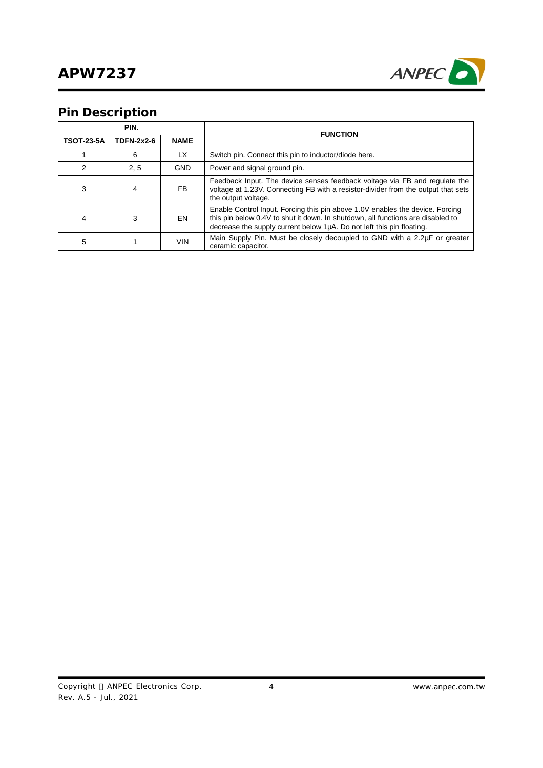

# **Pin Description**

| PIN.              |                   |             | <b>FUNCTION</b>                                                                                                                                                                                                                                |  |
|-------------------|-------------------|-------------|------------------------------------------------------------------------------------------------------------------------------------------------------------------------------------------------------------------------------------------------|--|
| <b>TSOT-23-5A</b> | <b>TDFN-2x2-6</b> | <b>NAME</b> |                                                                                                                                                                                                                                                |  |
|                   | 6                 | LX          | Switch pin. Connect this pin to inductor/diode here.                                                                                                                                                                                           |  |
| 2                 | 2, 5              | <b>GND</b>  | Power and signal ground pin.                                                                                                                                                                                                                   |  |
| 3                 | 4                 | FB.         | Feedback Input. The device senses feedback voltage via FB and regulate the<br>voltage at 1.23V. Connecting FB with a resistor-divider from the output that sets<br>the output voltage.                                                         |  |
| 4                 | 3                 | EN          | Enable Control Input. Forcing this pin above 1.0V enables the device. Forcing<br>this pin below 0.4V to shut it down. In shutdown, all functions are disabled to<br>decrease the supply current below $1\mu$ A. Do not left this pin floating. |  |
| 5                 |                   | <b>VIN</b>  | Main Supply Pin. Must be closely decoupled to GND with a 2.2uF or greater<br>ceramic capacitor.                                                                                                                                                |  |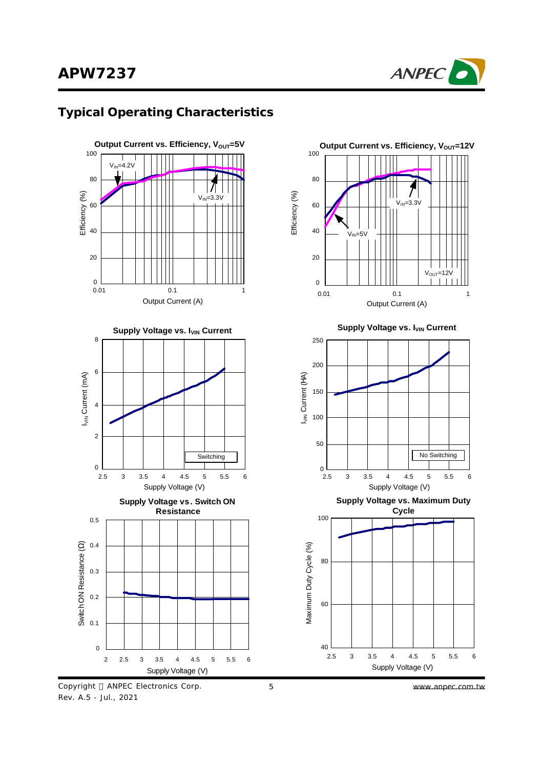

### **Typical Operating Characteristics**





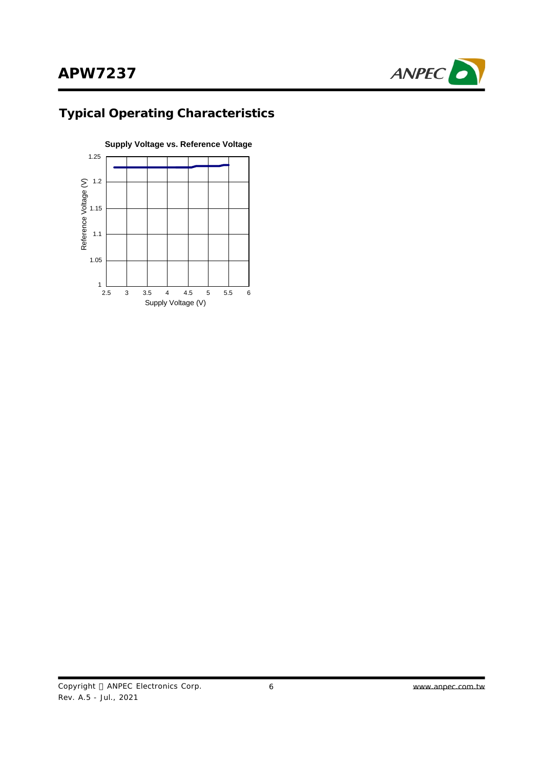

# **Typical Operating Characteristics**

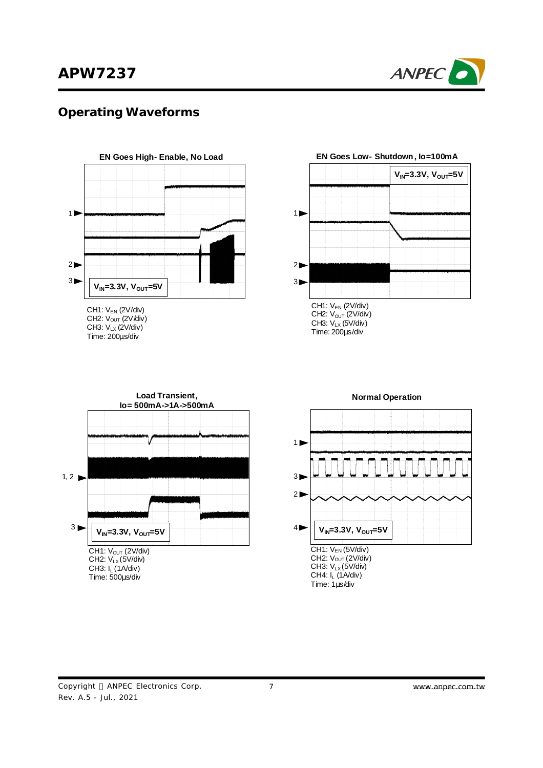

### **Operating Waveforms**



CH1:  $V_{EN}$  (2V/div) CH2:  $V_{OUT} (2V/div)$ CH3: VLX (2V/div) Time: 200μs/div



Time: 200μs/div

**EN Goes Low- Shutdown, Io=100mA**

CH1: V<sub>OUT</sub> (2V/div) CH2:  $V_{LX}(5V/div)$ CH3: I<sub>L</sub> (1A/div) Time: 500μs/div **Load Transient, Io= 500mA->1A->500mA**  $3 \blacktriangleright$ 1, 2  $\blacktriangleright$ **VIN=3.3V, VOUT=5V**



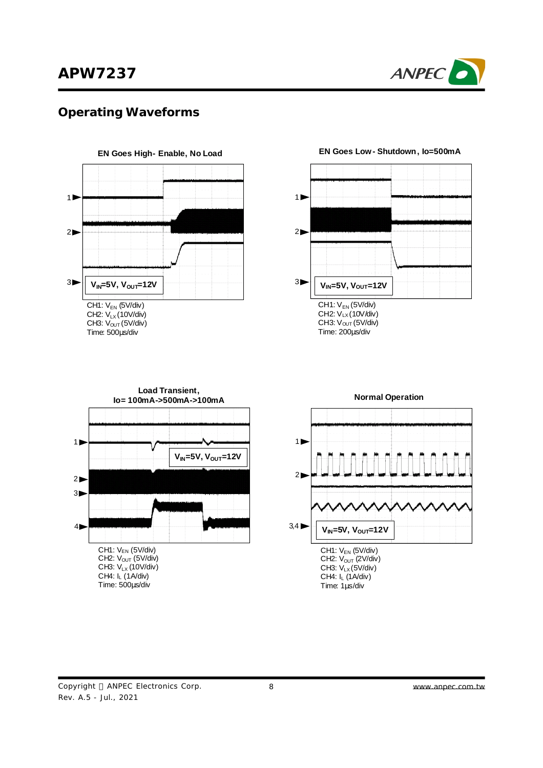

### **Operating Waveforms**



CH3:  $V_{OUT}$  (5V/div) Time: 500μs/div



#### **EN Goes Low- Shutdown, Io=500mA**



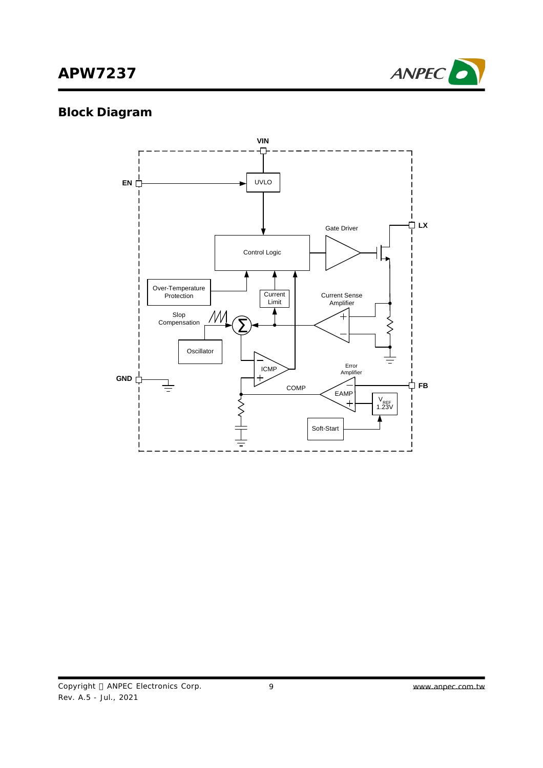

# **Block Diagram**

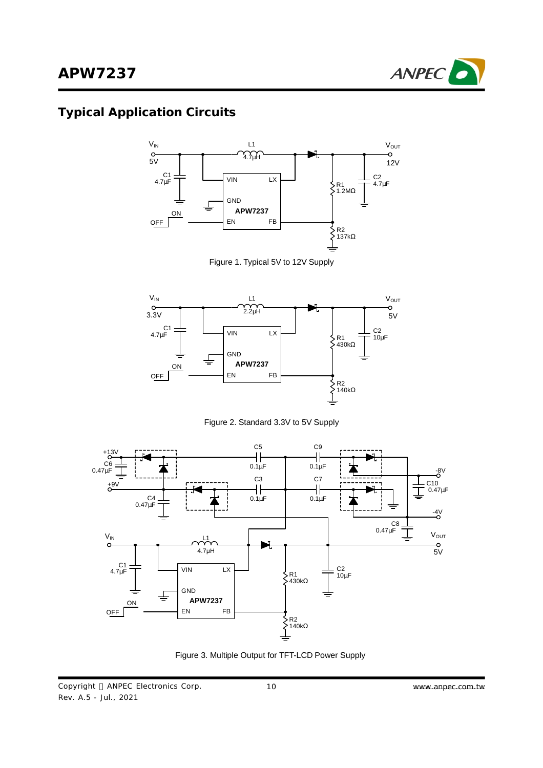

# **Typical Application Circuits**



Figure 1. Typical 5V to 12V Supply



Figure 2. Standard 3.3V to 5V Supply



Figure 3. Multiple Output for TFT-LCD Power Supply

Copyright © ANPEC Electronics Corp. Rev. A.5 - Jul., 2021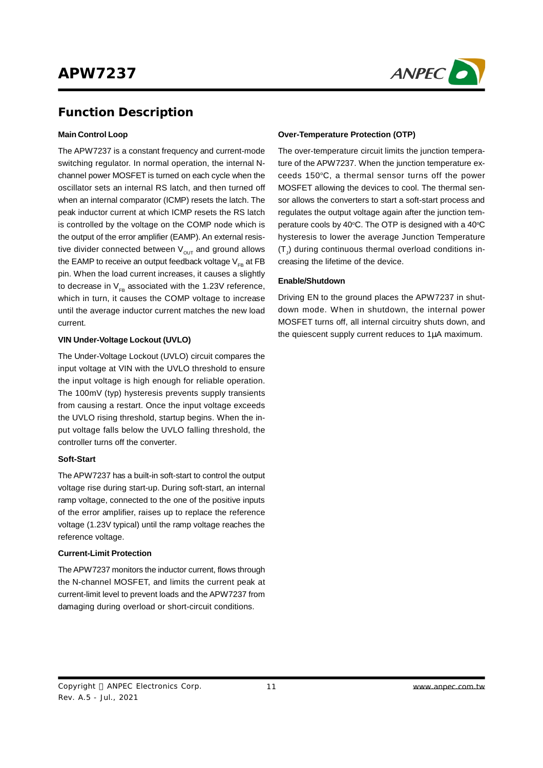

### **Function Description**

#### **Main Control Loop**

The APW7237 is a constant frequency and current-mode switching regulator. In normal operation, the internal Nchannel power MOSFET is turned on each cycle when the oscillator sets an internal RS latch, and then turned off when an internal comparator (ICMP) resets the latch. The peak inductor current at which ICMP resets the RS latch is controlled by the voltage on the COMP node which is the output of the error amplifier (EAMP). An external resistive divider connected between  $V_{\text{out}}$  and ground allows the EAMP to receive an output feedback voltage  $V_{FR}$  at FB pin. When the load current increases, it causes a slightly to decrease in  $V_{FB}$  associated with the 1.23V reference, which in turn, it causes the COMP voltage to increase until the average inductor current matches the new load current.

#### **VIN Under-Voltage Lockout (UVLO)**

The Under-Voltage Lockout (UVLO) circuit compares the input voltage at VIN with the UVLO threshold to ensure the input voltage is high enough for reliable operation. The 100mV (typ) hysteresis prevents supply transients from causing a restart. Once the input voltage exceeds the UVLO rising threshold, startup begins. When the input voltage falls below the UVLO falling threshold, the controller turns off the converter.

#### **Soft-Start**

The APW7237 has a built-in soft-start to control the output voltage rise during start-up. During soft-start, an internal ramp voltage, connected to the one of the positive inputs of the error amplifier, raises up to replace the reference voltage (1.23V typical) until the ramp voltage reaches the reference voltage.

#### **Current-Limit Protection**

The APW7237 monitors the inductor current, flows through the N-channel MOSFET, and limits the current peak at current-limit level to prevent loads and the APW7237 from damaging during overload or short-circuit conditions.

#### **Over-Temperature Protection (OTP)**

The over-temperature circuit limits the junction temperature of the APW7237. When the junction temperature exceeds 150°C, a thermal sensor turns off the power MOSFET allowing the devices to cool. The thermal sensor allows the converters to start a soft-start process and regulates the output voltage again after the junction temperature cools by 40°C. The OTP is designed with a 40°C hysteresis to lower the average Junction Temperature  $(\mathsf{T}_{\mathsf{J}})$  during continuous thermal overload conditions increasing the lifetime of the device.

#### **Enable/Shutdown**

Driving EN to the ground places the APW7237 in shutdown mode. When in shutdown, the internal power MOSFET turns off, all internal circuitry shuts down, and the quiescent supply current reduces to 1μA maximum.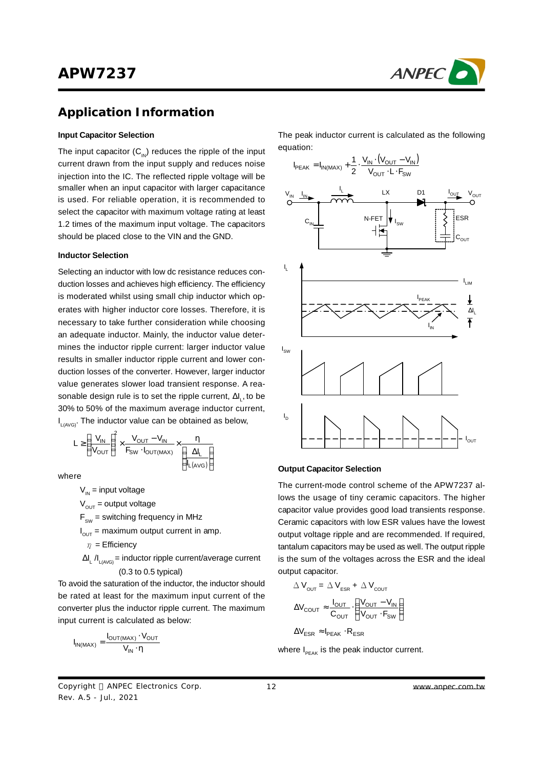

### **Application Information**

#### **Input Capacitor Selection**

The input capacitor  $(C_{1N})$  reduces the ripple of the input current drawn from the input supply and reduces noise injection into the IC. The reflected ripple voltage will be smaller when an input capacitor with larger capacitance is used. For reliable operation, it is recommended to select the capacitor with maximum voltage rating at least 1.2 times of the maximum input voltage. The capacitors should be placed close to the VIN and the GND.

#### **Inductor Selection**

Selecting an inductor with low dc resistance reduces conduction losses and achieves high efficiency. The efficiency is moderated whilst using small chip inductor which operates with higher inductor core losses. Therefore, it is necessary to take further consideration while choosing an adequate inductor. Mainly, the inductor value determines the inductor ripple current: larger inductor value results in smaller inductor ripple current and lower conduction losses of the converter. However, larger inductor value generates slower load transient response. A reasonable design rule is to set the ripple current,  $\Delta\bm{\mathsf{I}}_\text{L}$ , to be 30% to 50% of the maximum average inductor current, I<sub>L(AVG)</sub>. The inductor value can be obtained as below,

$$
L \geq \left(\frac{V_{IN}}{V_{OUT}}\right)^2 \times \frac{V_{OUT} - V_{IN}}{F_{SW} \cdot I_{OUT(MAX)}} \times \underbrace{\frac{\eta}{\left(\frac{\Delta I_L}{I_L(AVG)}\right)}}
$$

where

 $V_{in}$  = input voltage

 $V_{\text{out}}$  = output voltage

 $F_{\text{sw}}$  = switching frequency in MHz

 $I_{\text{OUT}}$  = maximum output current in amp.

 $\eta$  = Efficiency

 $ΔI_L / I_{L(AVG)}$  = inductor ripple current/average current (0.3 to 0.5 typical)

To avoid the saturation of the inductor, the inductor should be rated at least for the maximum input current of the converter plus the inductor ripple current. The maximum input current is calculated as below:

$$
I_{IN(MAX)} = \frac{I_{OUT(MAX)} \cdot V_{OUT}}{V_{IN} \cdot \eta}
$$

The peak inductor current is calculated as the following equation:



#### **Output Capacitor Selection**

The current-mode control scheme of the APW7237 allows the usage of tiny ceramic capacitors. The higher capacitor value provides good load transients response. Ceramic capacitors with low ESR values have the lowest output voltage ripple and are recommended. If required, tantalum capacitors may be used as well. The output ripple is the sum of the voltages across the ESR and the ideal output capacitor.

$$
\Delta V_{\text{OUT}} = \Delta V_{\text{ESR}} + \Delta V_{\text{COUT}}
$$

$$
\Delta V_{\text{COUT}} \approx \frac{I_{\text{OUT}}}{C_{\text{OUT}}} \cdot \left(\frac{V_{\text{OUT}} - V_{\text{IN}}}{V_{\text{OUT}} \cdot F_{\text{SW}}}\right)
$$

$$
\Delta V_{\text{ESR}} \approx I_{\text{PEAK}} \cdot R_{\text{ESR}}
$$

where  $I_{PEAK}$  is the peak inductor current.

Copyright © ANPEC Electronics Corp. Rev. A.5 - Jul., 2021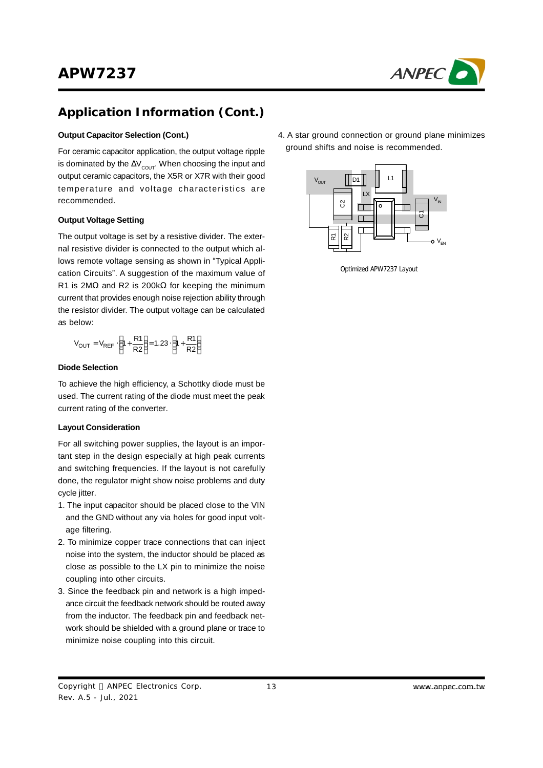

## **Application Information (Cont.)**

#### **Output Capacitor Selection (Cont.)**

For ceramic capacitor application, the output voltage ripple is dominated by the  $\Delta V_{\text{COUT}}$ . When choosing the input and output ceramic capacitors, the X5R or X7R with their good temperature and voltage characteristics are recommended.

#### **Output Voltage Setting**

The output voltage is set by a resistive divider. The external resistive divider is connected to the output which allows remote voltage sensing as shown in "Typical Application Circuits". A suggestion of the maximum value of R1 is 2M $\Omega$  and R2 is 200k $\Omega$  for keeping the minimum current that provides enough noise rejection ability through the resistor divider. The output voltage can be calculated as below:

$$
V_{OUT} = V_{REF} \cdot \left(1 + \frac{R1}{R2}\right) = 1.23 \cdot \left(1 + \frac{R1}{R2}\right)
$$

#### **Diode Selection**

To achieve the high efficiency, a Schottky diode must be used. The current rating of the diode must meet the peak current rating of the converter.

#### **Layout Consideration**

For all switching power supplies, the layout is an important step in the design especially at high peak currents and switching frequencies. If the layout is not carefully done, the regulator might show noise problems and duty cycle jitter.

- 1. The input capacitor should be placed close to the VIN and the GND without any via holes for good input voltage filtering.
- 2. To minimize copper trace connections that can inject noise into the system, the inductor should be placed as close as possible to the LX pin to minimize the noise coupling into other circuits.
- 3. Since the feedback pin and network is a high impedance circuit the feedback network should be routed away from the inductor. The feedback pin and feedback network should be shielded with a ground plane or trace to minimize noise coupling into this circuit.

4. A star ground connection or ground plane minimizes ground shifts and noise is recommended.



Optimized APW7237 Layout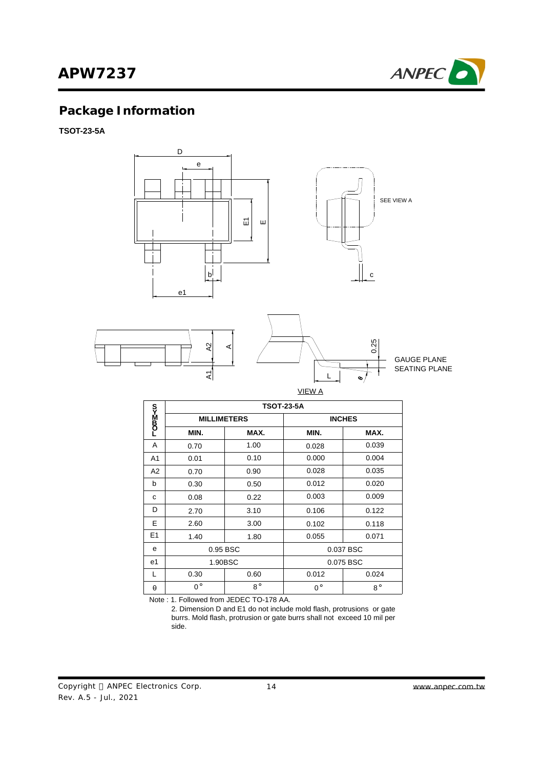

# **Package Information**

**TSOT-23-5A**



SEATING PLANE GAUGE PLANE

| VIEW A |  |
|--------|--|

L

|                | <b>TSOT-23-5A</b>  |             |             |               |  |
|----------------|--------------------|-------------|-------------|---------------|--|
| სა≌40_         | <b>MILLIMETERS</b> |             |             | <b>INCHES</b> |  |
|                | MIN.               | MAX.        | MIN.        | MAX.          |  |
| A              | 0.70               | 1.00        | 0.028       | 0.039         |  |
| A <sub>1</sub> | 0.01               | 0.10        | 0.000       | 0.004         |  |
| A2             | 0.70               | 0.90        | 0.028       | 0.035         |  |
| b              | 0.30               | 0.50        | 0.012       | 0.020         |  |
| C              | 0.08               | 0.22        | 0.003       | 0.009         |  |
| D              | 2.70               | 3.10        | 0.106       | 0.122         |  |
| E              | 2.60               | 3.00        | 0.102       | 0.118         |  |
| E <sub>1</sub> | 1.40               | 1.80        | 0.055       | 0.071         |  |
| e              | 0.95 BSC           |             | 0.037 BSC   |               |  |
| e1             | 1.90BSC            |             |             | 0.075 BSC     |  |
| $\mathbf{L}$   | 0.30               | 0.60        | 0.012       | 0.024         |  |
| $\theta$       | $0^{\circ}$        | $8^{\circ}$ | $0^{\circ}$ | $8^{\circ}$   |  |

Note : 1. Followed from JEDEC TO-178 AA.

 $\mathsf{z}$ 

 2. Dimension D and E1 do not include mold flash, protrusions or gate burrs. Mold flash, protrusion or gate burrs shall not exceed 10 mil per side.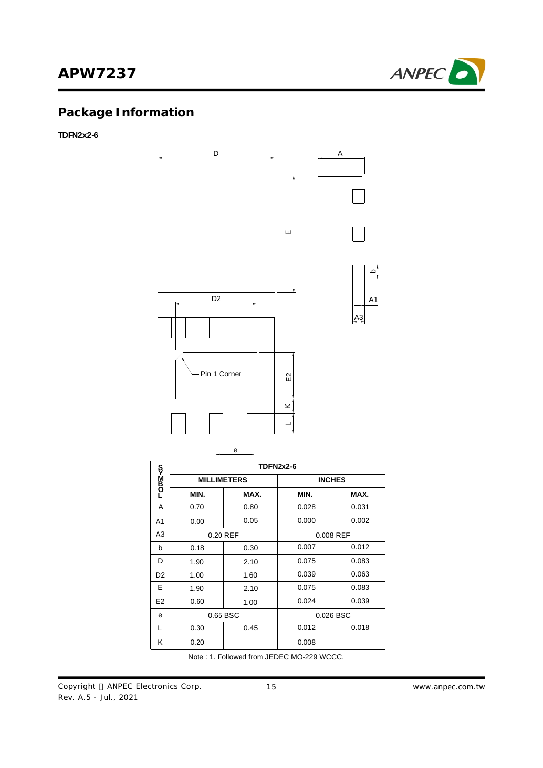

# **Package Information**

### **TDFN2x2-6**



|                | <b>TDFN2x2-6</b> |                    |       |               |  |  |
|----------------|------------------|--------------------|-------|---------------|--|--|
| r>Max          |                  | <b>MILLIMETERS</b> |       | <b>INCHES</b> |  |  |
|                | MIN.             | MAX.               | MIN.  | MAX.          |  |  |
| A              | 0.70             | 0.80               | 0.028 | 0.031         |  |  |
| A <sub>1</sub> | 0.00             | 0.05               | 0.000 | 0.002         |  |  |
| A3             | 0.20 REF         |                    |       | 0.008 REF     |  |  |
| b              | 0.18             | 0.30               | 0.007 | 0.012         |  |  |
| D              | 1.90             | 2.10               | 0.075 | 0.083         |  |  |
| D <sub>2</sub> | 1.00             | 1.60               | 0.039 | 0.063         |  |  |
| E              | 1.90             | 2.10               | 0.075 | 0.083         |  |  |
| E <sub>2</sub> | 0.60             | 1.00               | 0.024 | 0.039         |  |  |
| e              | 0.65 BSC         |                    |       | 0.026 BSC     |  |  |
| L              | 0.30             | 0.45               | 0.012 | 0.018         |  |  |
| κ              | 0.20             |                    | 0.008 |               |  |  |

Note : 1. Followed from JEDEC MO-229 WCCC.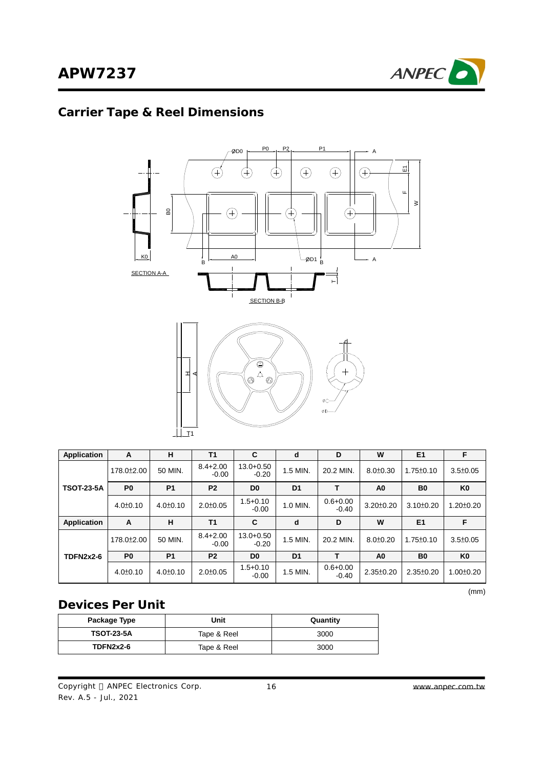

# **Carrier Tape & Reel Dimensions**



| Application       | A                       | н              | T <sub>1</sub>          | C                        | d              | D                       | W               | E1              | F               |
|-------------------|-------------------------|----------------|-------------------------|--------------------------|----------------|-------------------------|-----------------|-----------------|-----------------|
|                   | 178.0 <sup>+</sup> 2.00 | 50 MIN.        | $8.4 + 2.00$<br>$-0.00$ | $13.0 + 0.50$<br>$-0.20$ | 1.5 MIN.       | 20.2 MIN.               | $8.0 \pm 0.30$  | $1.75 \pm 0.10$ | $3.5 \pm 0.05$  |
| <b>TSOT-23-5A</b> | P <sub>0</sub>          | <b>P1</b>      | P <sub>2</sub>          | D <sub>0</sub>           | D <sub>1</sub> |                         | A <sub>0</sub>  | B <sub>0</sub>  | K <sub>0</sub>  |
|                   | $4.0 \pm 0.10$          | $4.0 \pm 0.10$ | $2.0 \pm 0.05$          | $1.5 + 0.10$<br>$-0.00$  | 1.0 MIN.       | $0.6 + 0.00$<br>$-0.40$ | $3.20 \pm 0.20$ | $3.10 \pm 0.20$ | $1.20 \pm 0.20$ |
| Application       | A                       | н              | T <sub>1</sub>          | C                        | d              | D                       | W               | E1              | F               |
|                   | 178.0±2.00              | 50 MIN.        | $8.4 + 2.00$<br>$-0.00$ | $13.0 + 0.50$<br>$-0.20$ | 1.5 MIN.       | 20.2 MIN.               | $8.0 \pm 0.20$  | $1.75 \pm 0.10$ | $3.5 \pm 0.05$  |
| <b>TDFN2x2-6</b>  | P <sub>0</sub>          | <b>P1</b>      | P <sub>2</sub>          | D <sub>0</sub>           | D <sub>1</sub> |                         | A0              | B <sub>0</sub>  | K <sub>0</sub>  |
|                   | $4.0 \pm 0.10$          | $4.0 \pm 0.10$ | $2.0 \pm 0.05$          | $1.5 + 0.10$<br>$-0.00$  | 1.5 MIN.       | $0.6 + 0.00$<br>$-0.40$ | $2.35 \pm 0.20$ | $2.35 \pm 0.20$ | $1.00 \pm 0.20$ |

(mm)

### **Devices Per Unit**

| Package Type      | Jnit        | Quantity |
|-------------------|-------------|----------|
| <b>TSOT-23-5A</b> | Tape & Reel | 3000     |
| <b>TDFN2x2-6</b>  | Tape & Reel | 3000     |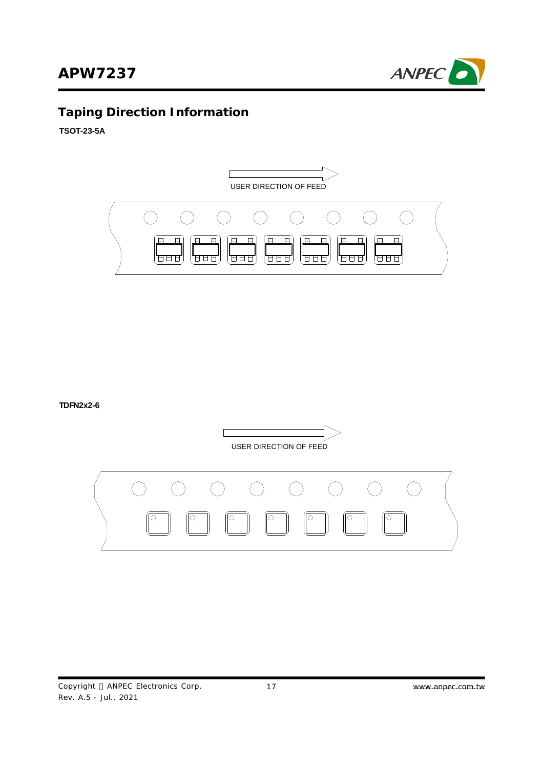

# **Taping Direction Information**

**TSOT-23-5A**



**TDFN2x2-6**



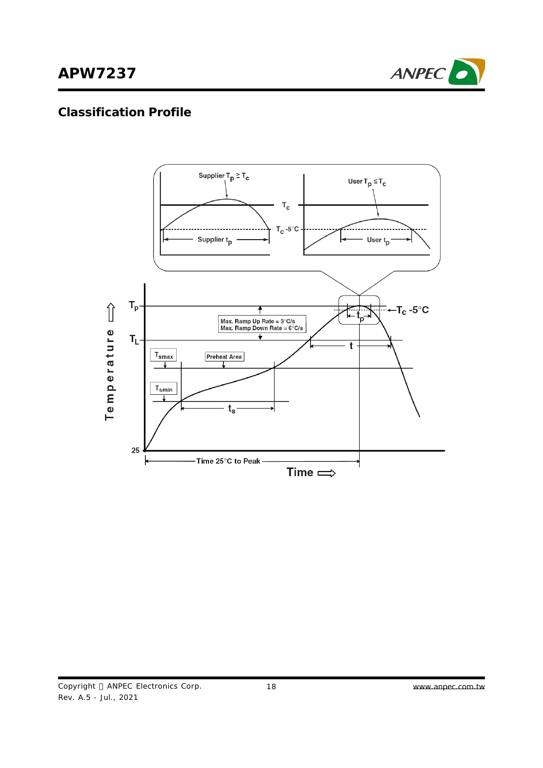

### **Classification Profile**

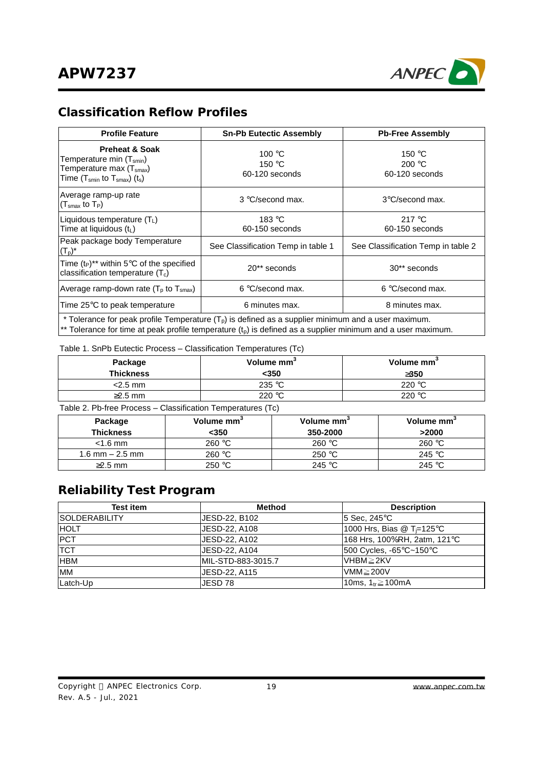

### **Classification Reflow Profiles**

| <b>Profile Feature</b>                                                                                                                                                                 | <b>Sn-Pb Eutectic Assembly</b>              | <b>Pb-Free Assembly</b>                     |  |  |  |
|----------------------------------------------------------------------------------------------------------------------------------------------------------------------------------------|---------------------------------------------|---------------------------------------------|--|--|--|
| <b>Preheat &amp; Soak</b><br>Temperature min (T <sub>smin</sub> )<br>Temperature max (T <sub>smax</sub> )<br>Time (T $_{\textsf{smin}}$ to T $_{\textsf{smax}}$ ) (t $_{\textsf{s}}$ ) | 100 $\degree$ C<br>150 °C<br>60-120 seconds | 150 °C<br>200 $\degree$ C<br>60-120 seconds |  |  |  |
| Average ramp-up rate<br>$(Tsmax$ to $TP)$                                                                                                                                              | 3 °C/second max.                            | 3°C/second max.                             |  |  |  |
| Liquidous temperature (TL)<br>Time at liquidous $(t_L)$                                                                                                                                | 183 °C<br>60-150 seconds                    | 217 $\degree$ C<br>60-150 seconds           |  |  |  |
| Peak package body Temperature<br>$(T_p)^*$                                                                                                                                             | See Classification Temp in table 1          | See Classification Temp in table 2          |  |  |  |
| Time $(t_P)^{**}$ within 5°C of the specified<br>classification temperature $(T_c)$                                                                                                    | 20** seconds                                | 30** seconds                                |  |  |  |
| Average ramp-down rate $(T_p$ to $T_{smax}$ )                                                                                                                                          | 6 °C/second max.                            | 6 °C/second max.                            |  |  |  |
| Time 25°C to peak temperature                                                                                                                                                          | 6 minutes max.                              | 8 minutes max.                              |  |  |  |
| * Tolerance for peak profile Temperature $(Tp)$ is defined as a supplier minimum and a user maximum.                                                                                   |                                             |                                             |  |  |  |

 $*$  Tolerance for time at peak profile temperature (t<sub>p</sub>) is defined as a supplier minimum and a user maximum.

Table 1. SnPb Eutectic Process – Classification Temperatures (Tc)

| Package<br><b>Thickness</b> | Volume mm <sup>3</sup><br><350 | Volume mm <sup>3</sup><br>3350 |
|-----------------------------|--------------------------------|--------------------------------|
| $<$ 2.5 mm                  | 235 °C                         | 220 °C                         |
| $\geq$ 2.5 mm               | 220 $\degree$ C                | 220 $\degree$ C                |

Table 2. Pb-free Process – Classification Temperatures (Tc)

| Package<br><b>Thickness</b> | Volume mm <sup>3</sup><br>$350$ | Volume mm <sup>3</sup><br>350-2000 | Volume mm <sup>3</sup><br>>2000 |
|-----------------------------|---------------------------------|------------------------------------|---------------------------------|
| $<$ 1.6 mm                  | 260 °C                          | 260 °C                             | 260 °C                          |
| 1.6 mm $-$ 2.5 mm           | 260 °C                          | 250 °C                             | 245 °C                          |
| $\geq$ 2.5 mm               | 250 °C                          | 245 $\degree$ C                    | 245 °C                          |

# **Reliability Test Program**

| <b>Test item</b>      | Method              | <b>Description</b>           |
|-----------------------|---------------------|------------------------------|
| <b>ISOLDERABILITY</b> | JESD-22, B102       | l5 Sec. 245°C∶               |
| <b>HOLT</b>           | JESD-22, A108       | 1000 Hrs, Bias @ T⊨125°C     |
| <b>PCT</b>            | JESD-22, A102       | 168 Hrs, 100%RH, 2atm, 121°C |
| <b>TCT</b>            | JESD-22, A104       | 500 Cycles, -65°C~150°C      |
| <b>IHBM</b>           | IMIL-STD-883-3015.7 | IVHBM≥2KV                    |
| <b>MM</b>             | JESD-22, A115       | $VMM \geq 200V$              |
| Latch-Up              | JESD 78             | 10ms, $1_{tr} \ge 100$ mA    |